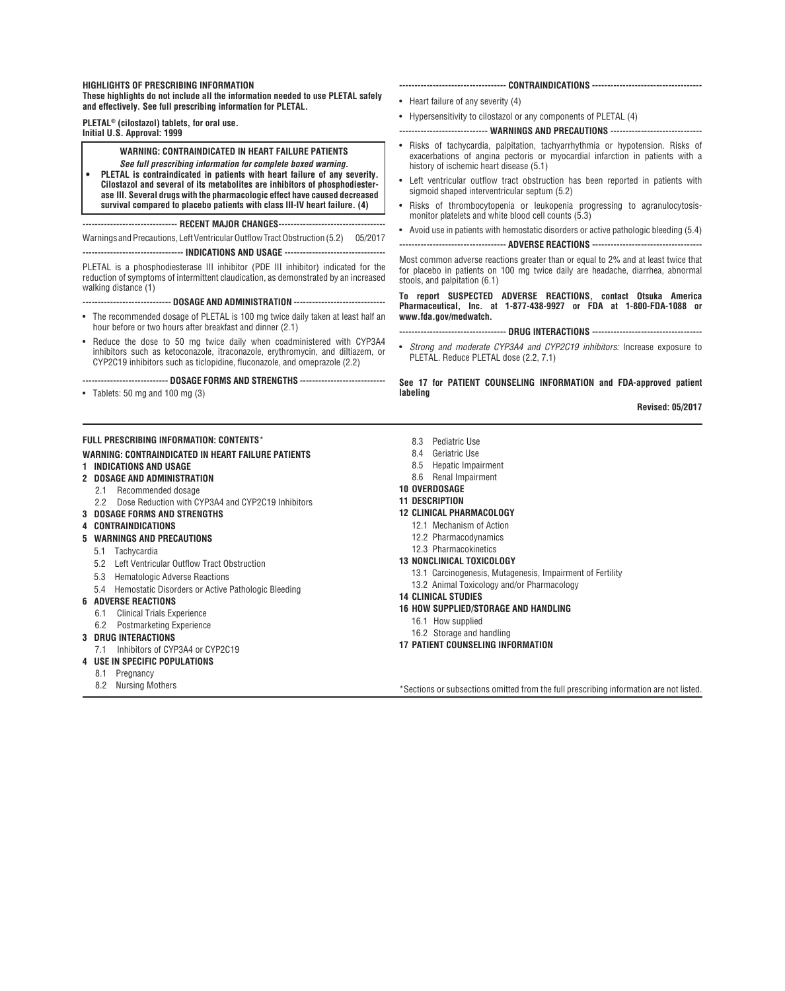#### **HIGHLIGHTS OF PRESCRIBING INFORMATION**

**These highlights do not include all the information needed to use PLETAL safely and effectively. See full prescribing information for PLETAL.** 

**PLETAL® (cilostazol) tablets, for oral use.**

**Initial U.S. Approval: 1999**

## **WARNING: CONTRAINDICATED IN HEART FAILURE PATIENTS**

*See full prescribing information for complete boxed warning.* **• PLETAL is contraindicated in patients with heart failure of any severity. Cilostazol and several of its metabolites are inhibitors of phosphodiesterase III. Several drugs with the pharmacologic effect have caused decreased survival compared to placebo patients with class III-IV heart failure. (4)**

**------------------------------- RECENT MAJOR CHANGES-----------------------------------**

Warnings and Precautions, Left Ventricular Outflow Tract Obstruction (5.2) 05/2017

**--------------------------------- INDICATIONS AND USAGE ---------------------------------**

PLETAL is a phosphodiesterase III inhibitor (PDE III inhibitor) indicated for the reduction of symptoms of intermittent claudication, as demonstrated by an increased walking distance (1)

**----------------------------- DOSAGE AND ADMINISTRATION ------------------------------**

- The recommended dosage of PLETAL is 100 mg twice daily taken at least half an hour before or two hours after breakfast and dinner (2.1)
- Reduce the dose to 50 mg twice daily when coadministered with CYP3A4 inhibitors such as ketoconazole, itraconazole, erythromycin, and diltiazem, or CYP2C19 inhibitors such as ticlopidine, fluconazole, and omeprazole (2.2)

**---------------------------- DOSAGE FORMS AND STRENGTHS ----------------------------**

• Tablets: 50 mg and 100 mg (3)

# **FULL PRESCRIBING INFORMATION: CONTENTS**\*

**WARNING: CONTRAINDICATED IN HEART FAILURE PATIENTS**

## **1 INDICATIONS AND USAGE**

- **2 DOSAGE AND ADMINISTRATION**
	- 2.1 Recommended dosage
	- 2.2 Dose Reduction with CYP3A4 and CYP2C19 Inhibitors
- **3 DOSAGE FORMS AND STRENGTHS**
- **4 CONTRAINDICATIONS**
- **5 WARNINGS AND PRECAUTIONS**
	- 5.1 Tachycardia
	- 5.2 Left Ventricular Outflow Tract Obstruction
	- 5.3 Hematologic Adverse Reactions
	- 5.4 Hemostatic Disorders or Active Pathologic Bleeding
- **6 ADVERSE REACTIONS**
	- 6.1 Clinical Trials Experience
	- 6.2 Postmarketing Experience
- **3 DRUG INTERACTIONS**
- 7.1 Inhibitors of CYP3A4 or CYP2C19
- **4 USE IN SPECIFIC POPULATIONS**
- 8.1 Pregnancy
- 8.2 Nursing Mothers
- **----------------------------------- CONTRAINDICATIONS ------------------------------------**
- Heart failure of any severity (4)
- Hypersensitivity to cilostazol or any components of PLETAL (4)
- **----------------------------- WARNINGS AND PRECAUTIONS ------------------------------**
- Risks of tachycardia, palpitation, tachyarrhythmia or hypotension. Risks of exacerbations of angina pectoris or myocardial infarction in patients with a history of ischemic heart disease (5.1)
- Left ventricular outflow tract obstruction has been reported in patients with sigmoid shaped interventricular septum (5.2)
- Risks of thrombocytopenia or leukopenia progressing to agranulocytosismonitor platelets and white blood cell counts (5.3)
- Avoid use in patients with hemostatic disorders or active pathologic bleeding (5.4)

**----------------------------------- ADVERSE REACTIONS ------------------------------------**

Most common adverse reactions greater than or equal to 2% and at least twice that for placebo in patients on 100 mg twice daily are headache, diarrhea, abnormal stools, and palpitation (6.1)

**To report SUSPECTED ADVERSE REACTIONS, contact Otsuka America Pharmaceutical, Inc. at 1-877-438-9927 or FDA at 1-800-FDA-1088 or www.fda.gov/medwatch.**

**----------------------------------- Drug Interactions ------------------------------------**

• *Strong and moderate CYP3A4 and CYP2C19 inhibitors:* Increase exposure to PLETAL. Reduce PLETAL dose (2.2, 7.1)

**See 17 for PATIENT COUNSELING INFORMATION and FDA-approved patient labeling**

**Revised: 05/2017**

- 8.3 Pediatric Use
- 8.4 Geriatric Use
- 8.5 Hepatic Impairment
- 8.6 Renal Impairment
- **10 OVERDOSAGE**
- **11 DESCRIPTION**
- **12 CLINICAL PHARMACOLOGY**
- 12.1 Mechanism of Action
- 12.2 Pharmacodynamics
- 12.3 Pharmacokinetics
- **13 NONCLINICAL TOXICOLOGY**
	- 13.1 Carcinogenesis, Mutagenesis, Impairment of Fertility
	- 13.2 Animal Toxicology and/or Pharmacology
- **14 CLINICAL STUDIES**
- **16 HOW SUPPLIED/STORAGE AND HANDLING**
	- 16.1 How supplied
	- 16.2 Storage and handling
- **17 PATIENT COUNSELING INFORMATION**

\*Sections or subsections omitted from the full prescribing information are not listed.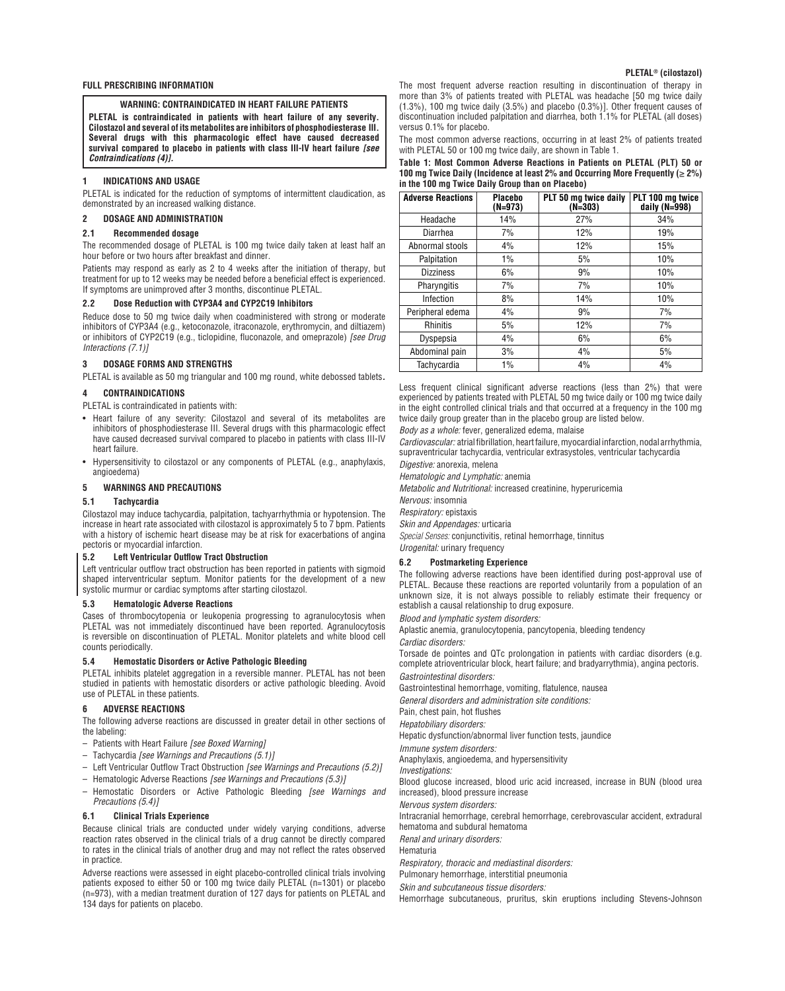#### **FULL PRESCRIBING INFORMATION**

## **WARNING: CONTRAINDICATED IN HEART FAILURE PATIENTS**

**PLETAL is contraindicated in patients with heart failure of any severity. Cilostazol and several of its metabolites are inhibitors of phosphodiesterase III. Several drugs with this pharmacologic effect have caused decreased survival compared to placebo in patients with class III-IV heart failure** *[see Contraindications (4)].*

#### **1 INDICATIONS AND USAGE**

PLETAL is indicated for the reduction of symptoms of intermittent claudication, as demonstrated by an increased walking distance.

#### **2 DOSAGE AND ADMINISTRATION**

#### **2.1 Recommended dosage**

The recommended dosage of PLETAL is 100 mg twice daily taken at least half an hour before or two hours after breakfast and dinner.

Patients may respond as early as 2 to 4 weeks after the initiation of therapy, but treatment for up to 12 weeks may be needed before a beneficial effect is experienced. If symptoms are unimproved after 3 months, discontinue PLETAL.

#### **2.2 Dose Reduction with CYP3A4 and CYP2C19 Inhibitors**

Reduce dose to 50 mg twice daily when coadministered with strong or moderate inhibitors of CYP3A4 (e.g., ketoconazole, itraconazole, erythromycin, and diltiazem) or inhibitors of CYP2C19 (e.g., ticlopidine, fluconazole, and omeprazole) *[see Drug Interactions (7.1)]* 

## **3 DOSAGE FORMS AND STRENGTHS**

PLETAL is available as 50 mg triangular and 100 mg round, white debossed tablets*.*

#### **4 CONTRAINDICATIONS**

PLETAL is contraindicated in patients with:

- Heart failure of any severity: Cilostazol and several of its metabolites are inhibitors of phosphodiesterase III. Several drugs with this pharmacologic effect have caused decreased survival compared to placebo in patients with class III-IV heart failure.
- Hypersensitivity to cilostazol or any components of PLETAL (e.g., anaphylaxis, angioedema)

## **5 WARNINGS AND PRECAUTIONS**

## **5.1 Tachycardia**

Cilostazol may induce tachycardia, palpitation, tachyarrhythmia or hypotension. The increase in heart rate associated with cilostazol is approximately 5 to 7 bpm. Patients with a history of ischemic heart disease may be at risk for exacerbations of angina pectoris or myocardial infarction.

## **5.2 Left Ventricular Outflow Tract Obstruction**

Left ventricular outflow tract obstruction has been reported in patients with sigmoid shaped interventricular septum. Monitor patients for the development of a new systolic murmur or cardiac symptoms after starting cilostazol.

## **5.3 Hematologic Adverse Reactions**

Cases of thrombocytopenia or leukopenia progressing to agranulocytosis when PLETAL was not immediately discontinued have been reported. Agranulocytosis is reversible on discontinuation of PLETAL. Monitor platelets and white blood cell counts periodically.

## **5.4 Hemostatic Disorders or Active Pathologic Bleeding**

PLETAL inhibits platelet aggregation in a reversible manner. PLETAL has not been studied in patients with hemostatic disorders or active pathologic bleeding. Avoid use of PLETAL in these patients.

#### **6 ADVERSE REACTIONS**

The following adverse reactions are discussed in greater detail in other sections of the labeling:

- Patients with Heart Failure *[see Boxed Warning]*
- Tachycardia *[see Warnings and Precautions (5.1)]*
- Left Ventricular Outflow Tract Obstruction *[see Warnings and Precautions (5.2)]*
- Hematologic Adverse Reactions *[see Warnings and Precautions (5.3)]*
- Hemostatic Disorders or Active Pathologic Bleeding *[see Warnings and Precautions (5.4)]*

## **6.1 Clinical Trials Experience**

Because clinical trials are conducted under widely varying conditions, adverse reaction rates observed in the clinical trials of a drug cannot be directly compared to rates in the clinical trials of another drug and may not reflect the rates observed in practice.

Adverse reactions were assessed in eight placebo-controlled clinical trials involving patients exposed to either 50 or 100 mg twice daily PLETAL (n=1301) or placebo (n=973), with a median treatment duration of 127 days for patients on PLETAL and 134 days for patients on placebo.

The most frequent adverse reaction resulting in discontinuation of therapy in more than 3% of patients treated with PLETAL was headache [50 mg twice daily (1.3%), 100 mg twice daily (3.5%) and placebo (0.3%)]. Other frequent causes of discontinuation included palpitation and diarrhea, both 1.1% for PLETAL (all doses) versus 0.1% for placebo.

The most common adverse reactions, occurring in at least 2% of patients treated with PLETAL 50 or 100 mg twice daily, are shown in Table 1.

**Table 1: Most Common Adverse Reactions in Patients on PLETAL (PLT) 50 or 100 mg Twice Daily (Incidence at least 2% and Occurring More Frequently (**≥ **2%) in the 100 mg Twice Daily Group than on Placebo)** 

| <b>Adverse Reactions</b> | <b>Placebo</b><br>(N=973) | PLT 50 mg twice daily<br>(N=303) | PLT 100 mg twice<br>daily (N=998) |
|--------------------------|---------------------------|----------------------------------|-----------------------------------|
| Headache                 | 14%                       | 27%                              | 34%                               |
| Diarrhea                 | 7%                        | 12%                              | 19%                               |
| Abnormal stools          | 4%                        | 12%                              | 15%                               |
| Palpitation              | 1%                        | 5%                               | 10%                               |
| <b>Dizziness</b>         | 6%                        | 9%                               | 10%                               |
| Pharyngitis              | 7%                        | 7%                               | 10%                               |
| Infection                | 8%                        | 14%                              | 10%                               |
| Peripheral edema         | 4%                        | 9%                               | 7%                                |
| <b>Rhinitis</b>          | 5%                        | 12%                              | 7%                                |
| Dyspepsia                | 4%                        | 6%                               | 6%                                |
| Abdominal pain           | 3%                        | 4%                               | 5%                                |
| Tachycardia              | 1%                        | 4%                               | 4%                                |

Less frequent clinical significant adverse reactions (less than 2%) that were experienced by patients treated with PLETAL 50 mg twice daily or 100 mg twice daily in the eight controlled clinical trials and that occurred at a frequency in the 100 mg twice daily group greater than in the placebo group are listed below.

*Body as a whole:* fever, generalized edema, malaise

*Cardiovascular:* atrial fibrillation, heart failure, myocardial infarction, nodal arrhythmia, supraventricular tachycardia, ventricular extrasystoles, ventricular tachycardia

*Digestive:* anorexia, melena

*Hematologic and Lymphatic:* anemia

*Metabolic and Nutritional:* increased creatinine, hyperuricemia

*Nervous:* insomnia

*Respiratory:* epistaxis

*Skin and Appendages:* urticaria

*Special Senses:* conjunctivitis, retinal hemorrhage, tinnitus

# *Urogenital:* urinary frequency

## **6.2 Postmarketing Experience**

The following adverse reactions have been identified during post-approval use of PLETAL. Because these reactions are reported voluntarily from a population of an unknown size, it is not always possible to reliably estimate their frequency or establish a causal relationship to drug exposure.

*Blood and lymphatic system disorders:*

Aplastic anemia, granulocytopenia, pancytopenia, bleeding tendency

*Cardiac disorders:*

Torsade de pointes and QTc prolongation in patients with cardiac disorders (e.g. complete atrioventricular block, heart failure; and bradyarrythmia), angina pectoris. *Gastrointestinal disorders:*

Gastrointestinal hemorrhage, vomiting, flatulence, nausea

*General disorders and administration site conditions:*

Pain, chest pain, hot flushes

*Hepatobiliary disorders:*

Hepatic dysfunction/abnormal liver function tests, jaundice

*Immune system disorders:* 

Anaphylaxis, angioedema, and hypersensitivity

*Investigations:*

Blood glucose increased, blood uric acid increased, increase in BUN (blood urea increased), blood pressure increase

*Nervous system disorders:*

Intracranial hemorrhage, cerebral hemorrhage, cerebrovascular accident, extradural hematoma and subdural hematoma

*Renal and urinary disorders:*

Hematuria

*Respiratory, thoracic and mediastinal disorders:*

Pulmonary hemorrhage, interstitial pneumonia

*Skin and subcutaneous tissue disorders:*

Hemorrhage subcutaneous, pruritus, skin eruptions including Stevens-Johnson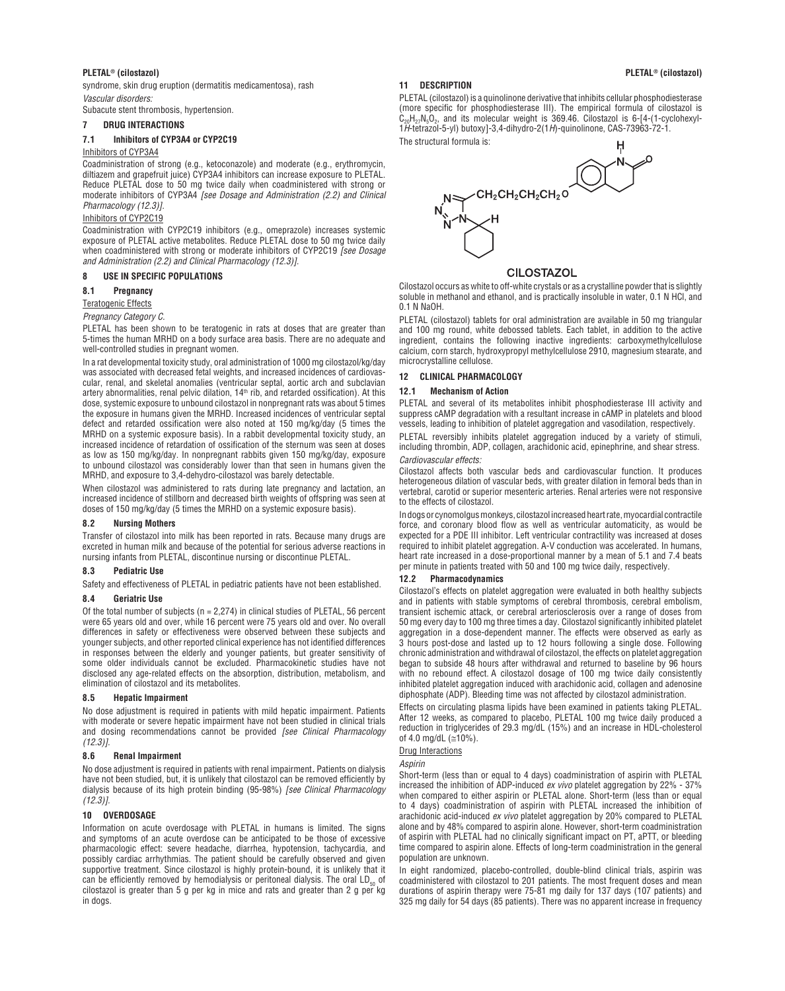## **PLETAL®** (cilostazol) **8** (cilostazol) *PLETAL®* (cilostazol)

syndrome, skin drug eruption (dermatitis medicamentosa), rash *Vascular disorders:*

Subacute stent thrombosis, hypertension.

## **7 DRUG INTERACTIONS**

## **7.1 Inhibitors of CYP3A4 or CYP2C19**

## Inhibitors of CYP3A4

Coadministration of strong (e.g., ketoconazole) and moderate (e.g., erythromycin, diltiazem and grapefruit juice) CYP3A4 inhibitors can increase exposure to PLETAL. Reduce PLETAL dose to 50 mg twice daily when coadministered with strong or moderate inhibitors of CYP3A4 *[see Dosage and Administration (2.2) and Clinical Pharmacology (12.3)].*

## Inhibitors of CYP2C19

Coadministration with CYP2C19 inhibitors (e.g., omeprazole) increases systemic exposure of PLETAL active metabolites. Reduce PLETAL dose to 50 mg twice daily when coadministered with strong or moderate inhibitors of CYP2C19 *[see Dosage and Administration (2.2) and Clinical Pharmacology (12.3)].*

## **8 USE IN SPECIFIC POPULATIONS**

## **8.1 Pregnancy**

## Teratogenic Effects

*Pregnancy Category C.*

PLETAL has been shown to be teratogenic in rats at doses that are greater than 5-times the human MRHD on a body surface area basis. There are no adequate and well-controlled studies in pregnant women.

In a rat developmental toxicity study, oral administration of 1000 mg cilostazol/kg/day was associated with decreased fetal weights, and increased incidences of cardiovascular, renal, and skeletal anomalies (ventricular septal, aortic arch and subclavian artery abnormalities, renal pelvic dilation,  $14<sup>th</sup>$  rib, and retarded ossification). At this dose, systemic exposure to unbound cilostazol in nonpregnant rats was about 5 times the exposure in humans given the MRHD. Increased incidences of ventricular septal defect and retarded ossification were also noted at 150 mg/kg/day (5 times the MRHD on a systemic exposure basis). In a rabbit developmental toxicity study, an increased incidence of retardation of ossification of the sternum was seen at doses as low as 150 mg/kg/day. In nonpregnant rabbits given 150 mg/kg/day, exposure to unbound cilostazol was considerably lower than that seen in humans given the MRHD, and exposure to 3,4-dehydro-cilostazol was barely detectable.

When cilostazol was administered to rats during late pregnancy and lactation, an increased incidence of stillborn and decreased birth weights of offspring was seen at doses of 150 mg/kg/day (5 times the MRHD on a systemic exposure basis).

#### **8.2 Nursing Mothers**

Transfer of cilostazol into milk has been reported in rats. Because many drugs are excreted in human milk and because of the potential for serious adverse reactions in nursing infants from PLETAL, discontinue nursing or discontinue PLETAL.

## **8.3 Pediatric Use**

Safety and effectiveness of PLETAL in pediatric patients have not been established.

## **8.4 Geriatric Use**

Of the total number of subjects ( $n = 2,274$ ) in clinical studies of PLETAL, 56 percent were 65 years old and over, while 16 percent were 75 years old and over. No overall differences in safety or effectiveness were observed between these subjects and younger subjects, and other reported clinical experience has not identified differences in responses between the elderly and younger patients, but greater sensitivity of some older individuals cannot be excluded. Pharmacokinetic studies have not disclosed any age-related effects on the absorption, distribution, metabolism, and elimination of cilostazol and its metabolites.

#### **8.5 Hepatic Impairment**

No dose adjustment is required in patients with mild hepatic impairment. Patients with moderate or severe hepatic impairment have not been studied in clinical trials and dosing recommendations cannot be provided *[see Clinical Pharmacology (12.3)].*

## **8.6 Renal Impairment**

No dose adjustment is required in patients with renal impairment*.* Patients on dialysis have not been studied, but, it is unlikely that cilostazol can be removed efficiently by dialysis because of its high protein binding (95-98%) *[see Clinical Pharmacology (12.3)].*

## **10 OVERDOSAGE**

Information on acute overdosage with PLETAL in humans is limited. The signs and symptoms of an acute overdose can be anticipated to be those of excessive pharmacologic effect: severe headache, diarrhea, hypotension, tachycardia, and possibly cardiac arrhythmias. The patient should be carefully observed and given supportive treatment. Since cilostazol is highly protein-bound, it is unlikely that it can be efficiently removed by hemodialysis or peritoneal dialysis. The oral  $LD_{50}$  of cilostazol is greater than 5 g per kg in mice and rats and greater than 2 g per kg in dogs.

#### **11 DESCRIPTION**

PLETAL (cilostazol) is a quinolinone derivative that inhibits cellular phosphodiesterase (more specific for phosphodiesterase III). The empirical formula of cilostazol is  $C_{20}H_{27}N_5O_2$ , and its molecular weight is 369.46. Cilostazol is 6-[4-(1-cyclohexyl-1*H*-tetrazol-5-yl) butoxy]-3,4-dihydro-2(1*H*)-quinolinone, CAS-73963-72-1. The structural formula is:



## **CILOSTAZOL**

Cilostazol occurs as white to off-white crystals or as a crystalline powder that is slightly soluble in methanol and ethanol, and is practically insoluble in water, 0.1 N HCl, and 0.1 N NaOH.

PLETAL (cilostazol) tablets for oral administration are available in 50 mg triangular and 100 mg round, white debossed tablets. Each tablet, in addition to the active ingredient, contains the following inactive ingredients: carboxymethylcellulose calcium, corn starch, hydroxypropyl methylcellulose 2910, magnesium stearate, and microcrystalline cellulose.

## **12 CLINICAL PHARMACOLOGY**

#### **12.1 Mechanism of Action**

PLETAL and several of its metabolites inhibit phosphodiesterase III activity and suppress cAMP degradation with a resultant increase in cAMP in platelets and blood vessels, leading to inhibition of platelet aggregation and vasodilation, respectively.

PLETAL reversibly inhibits platelet aggregation induced by a variety of stimuli, including thrombin, ADP, collagen, arachidonic acid, epinephrine, and shear stress. *Cardiovascular effects:*

Cilostazol affects both vascular beds and cardiovascular function. It produces heterogeneous dilation of vascular beds, with greater dilation in femoral beds than in vertebral, carotid or superior mesenteric arteries. Renal arteries were not responsive to the effects of cilostazol.

In dogs or cynomolgus monkeys, cilostazol increased heart rate, myocardial contractile force, and coronary blood flow as well as ventricular automaticity, as would be expected for a PDE III inhibitor. Left ventricular contractility was increased at doses required to inhibit platelet aggregation. A-V conduction was accelerated. In humans, heart rate increased in a dose-proportional manner by a mean of 5.1 and 7.4 beats per minute in patients treated with 50 and 100 mg twice daily, respectively.

## **12.2 Pharmacodynamics**

Cilostazol's effects on platelet aggregation were evaluated in both healthy subjects and in patients with stable symptoms of cerebral thrombosis, cerebral embolism, transient ischemic attack, or cerebral arteriosclerosis over a range of doses from 50 mg every day to 100 mg three times a day. Cilostazol significantly inhibited platelet aggregation in a dose-dependent manner. The effects were observed as early as 3 hours post-dose and lasted up to 12 hours following a single dose. Following chronic administration and withdrawal of cilostazol, the effects on platelet aggregation began to subside 48 hours after withdrawal and returned to baseline by 96 hours with no rebound effect. A cilostazol dosage of 100 mg twice daily consistently inhibited platelet aggregation induced with arachidonic acid, collagen and adenosine diphosphate (ADP). Bleeding time was not affected by cilostazol administration.

Effects on circulating plasma lipids have been examined in patients taking PLETAL. After 12 weeks, as compared to placebo, PLETAL 100 mg twice daily produced a reduction in triglycerides of 29.3 mg/dL (15%) and an increase in HDL-cholesterol of 4.0 mg/dL ( $\cong$ 10%).

## Drug Interactions

*Aspirin*

Short-term (less than or equal to 4 days) coadministration of aspirin with PLETAL increased the inhibition of ADP-induced *ex vivo* platelet aggregation by 22% - 37% when compared to either aspirin or PLETAL alone. Short-term (less than or equal to 4 days) coadministration of aspirin with PLETAL increased the inhibition of arachidonic acid-induced *ex vivo* platelet aggregation by 20% compared to PLETAL alone and by 48% compared to aspirin alone. However, short-term coadministration of aspirin with PLETAL had no clinically significant impact on PT, aPTT, or bleeding time compared to aspirin alone. Effects of long-term coadministration in the general population are unknown.

In eight randomized, placebo-controlled, double-blind clinical trials, aspirin was coadministered with cilostazol to 201 patients. The most frequent doses and mean durations of aspirin therapy were 75-81 mg daily for 137 days (107 patients) and 325 mg daily for 54 days (85 patients). There was no apparent increase in frequency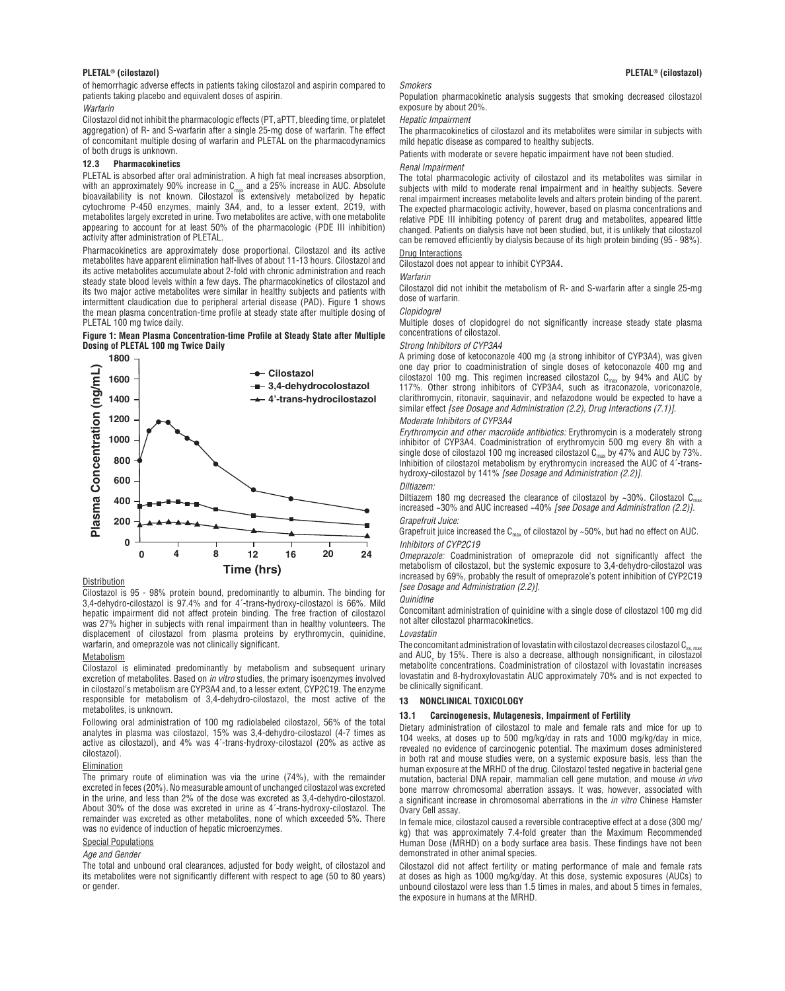of hemorrhagic adverse effects in patients taking cilostazol and aspirin compared to patients taking placebo and equivalent doses of aspirin.

*Warfarin*

Cilostazol did not inhibit the pharmacologic effects (PT, aPTT, bleeding time, or platelet aggregation) of R- and S-warfarin after a single 25-mg dose of warfarin. The effect of concomitant multiple dosing of warfarin and PLETAL on the pharmacodynamics of both drugs is unknown.

#### **12.3 Pharmacokinetics**

PLETAL is absorbed after oral administration. A high fat meal increases absorption, with an approximately 90% increase in C<sub>max</sub> and a 25% increase in AUC. Absolute<br>bioavailability is not known. Cilostazol is extensively metabolized by hepatic cytochrome P-450 enzymes, mainly 3A4, and, to a lesser extent, 2C19, with metabolites largely excreted in urine. Two metabolites are active, with one metabolite appearing to account for at least 50% of the pharmacologic (PDE III inhibition) activity after administration of PLETAL.

Pharmacokinetics are approximately dose proportional. Cilostazol and its active metabolites have apparent elimination half-lives of about 11-13 hours. Cilostazol and its active metabolites accumulate about 2-fold with chronic administration and reach steady state blood levels within a few days. The pharmacokinetics of cilostazol and its two major active metabolites were similar in healthy subjects and patients with intermittent claudication due to peripheral arterial disease (PAD). Figure 1 shows the mean plasma concentration-time profile at steady state after multiple dosing of PLETAL 100 mg twice daily.

## **Figure 1: Mean Plasma Concentration-time Profile at Steady State after Multiple Dosing of PLETAL 100 mg Twice Daily**



#### Distribution

Cilostazol is 95 - 98% protein bound, predominantly to albumin. The binding for 3,4-dehydro-cilostazol is 97.4% and for 4´-trans-hydroxy-cilostazol is 66%. Mild hepatic impairment did not affect protein binding. The free fraction of cilostazol was 27% higher in subjects with renal impairment than in healthy volunteers. The displacement of cilostazol from plasma proteins by erythromycin, quinidine, warfarin, and omeprazole was not clinically significant.

#### Metabolism

Cilostazol is eliminated predominantly by metabolism and subsequent urinary excretion of metabolites. Based on *in vitro* studies, the primary isoenzymes involved in cilostazol's metabolism are CYP3A4 and, to a lesser extent, CYP2C19. The enzyme responsible for metabolism of 3,4-dehydro-cilostazol, the most active of the metabolites, is unknown.

Following oral administration of 100 mg radiolabeled cilostazol, 56% of the total analytes in plasma was cilostazol, 15% was 3,4-dehydro-cilostazol (4-7 times as active as cilostazol), and 4% was 4´-trans-hydroxy-cilostazol (20% as active as cilostazol).

## **Elimination**

The primary route of elimination was via the urine (74%), with the remainder excreted in feces (20%). No measurable amount of unchanged cilostazol was excreted in the urine, and less than 2% of the dose was excreted as 3,4-dehydro-cilostazol. About 30% of the dose was excreted in urine as 4´-trans-hydroxy-cilostazol. The remainder was excreted as other metabolites, none of which exceeded 5%. There was no evidence of induction of hepatic microenzymes.

#### Special Populations

#### *Age and Gender*

The total and unbound oral clearances, adjusted for body weight, of cilostazol and its metabolites were not significantly different with respect to age (50 to 80 years) or gender.

## *Smokers*

Population pharmacokinetic analysis suggests that smoking decreased cilostazol exposure by about 20%.

## *Hepatic Impairment*

The pharmacokinetics of cilostazol and its metabolites were similar in subjects with mild hepatic disease as compared to healthy subjects.

Patients with moderate or severe hepatic impairment have not been studied.

## *Renal Impairment*

The total pharmacologic activity of cilostazol and its metabolites was similar in subjects with mild to moderate renal impairment and in healthy subjects. Severe renal impairment increases metabolite levels and alters protein binding of the parent. The expected pharmacologic activity, however, based on plasma concentrations and relative PDE III inhibiting potency of parent drug and metabolites, appeared little changed. Patients on dialysis have not been studied, but, it is unlikely that cilostazol can be removed efficiently by dialysis because of its high protein binding (95 - 98%). Drug Interactions

Cilostazol does not appear to inhibit CYP3A4*.*

#### *Warfarin*

Cilostazol did not inhibit the metabolism of R- and S-warfarin after a single 25-mg dose of warfarin.

#### *Clopidogrel*

Multiple doses of clopidogrel do not significantly increase steady state plasma concentrations of cilostazol.

#### *Strong Inhibitors of CYP3A4*

A priming dose of ketoconazole 400 mg (a strong inhibitor of CYP3A4), was given one day prior to coadministration of single doses of ketoconazole 400 mg and cilostazol 100 mg. This regimen increased cilostazol  $C_{\text{max}}$  by 94% and AUC by 117%. Other strong inhibitors of CYP3A4, such as itraconazole, voriconazole, clarithromycin, ritonavir, saquinavir, and nefazodone would be expected to have a similar effect *[see Dosage and Administration (2.2), Drug Interactions (7.1)].*

## *Moderate Inhibitors of CYP3A4*

*Erythromycin and other macrolide antibiotics:* Erythromycin is a moderately strong inhibitor of CYP3A4. Coadministration of erythromycin 500 mg every 8h with a single dose of cilostazol 100 mg increased cilostazol  $C_{\text{max}}$  by 47% and AUC by 73%. Inhibition of cilostazol metabolism by erythromycin increased the AUC of 4´-transhydroxy-cilostazol by 141% *[see Dosage and Administration (2.2)].*

## *Diltiazem:*

Diltiazem 180 mg decreased the clearance of cilostazol by ~30%. Cilostazol  $C_{max}$ increased ~30% and AUC increased ~40% *[see Dosage and Administration (2.2)]. Grapefruit Juice:* 

## Grapefruit juice increased the  $C_{\text{max}}$  of cilostazol by ~50%, but had no effect on AUC. *Inhibitors of CYP2C19*

*Omeprazole:* Coadministration of omeprazole did not significantly affect the metabolism of cilostazol, but the systemic exposure to 3,4-dehydro-cilostazol was increased by 69%, probably the result of omeprazole's potent inhibition of CYP2C19 *[see Dosage and Administration (2.2)].*

## *Quinidine*

Concomitant administration of quinidine with a single dose of cilostazol 100 mg did not alter cilostazol pharmacokinetics.

## *Lovastatin*

The concomitant administration of lovastatin with cilostazol decreases cilostazol  $C_{ss, ma}$ and  $AUC<sub>τ</sub>$  by 15%. There is also a decrease, although nonsignificant, in cilostazol metabolite concentrations. Coadministration of cilostazol with lovastatin increases lovastatin and ß-hydroxylovastatin AUC approximately 70% and is not expected to be clinically significant.

#### **13 NONCLINICAL TOXICOLOGY**

## **13.1 Carcinogenesis, Mutagenesis, Impairment of Fertility**

Dietary administration of cilostazol to male and female rats and mice for up to 104 weeks, at doses up to 500 mg/kg/day in rats and 1000 mg/kg/day in mice, revealed no evidence of carcinogenic potential. The maximum doses administered in both rat and mouse studies were, on a systemic exposure basis, less than the human exposure at the MRHD of the drug. Cilostazol tested negative in bacterial gene mutation, bacterial DNA repair, mammalian cell gene mutation, and mouse *in vivo*  bone marrow chromosomal aberration assays. It was, however, associated with a significant increase in chromosomal aberrations in the *in vitro* Chinese Hamster Ovary Cell assay.

In female mice, cilostazol caused a reversible contraceptive effect at a dose (300 mg/ kg) that was approximately 7.4-fold greater than the Maximum Recommended Human Dose (MRHD) on a body surface area basis. These findings have not been demonstrated in other animal species.

Cilostazol did not affect fertility or mating performance of male and female rats at doses as high as 1000 mg/kg/day. At this dose, systemic exposures (AUCs) to unbound cilostazol were less than 1.5 times in males, and about 5 times in females, the exposure in humans at the MRHD.

## **PLETAL®** (cilostazol) **8** (cilostazol) *PLETAL®* (cilostazol)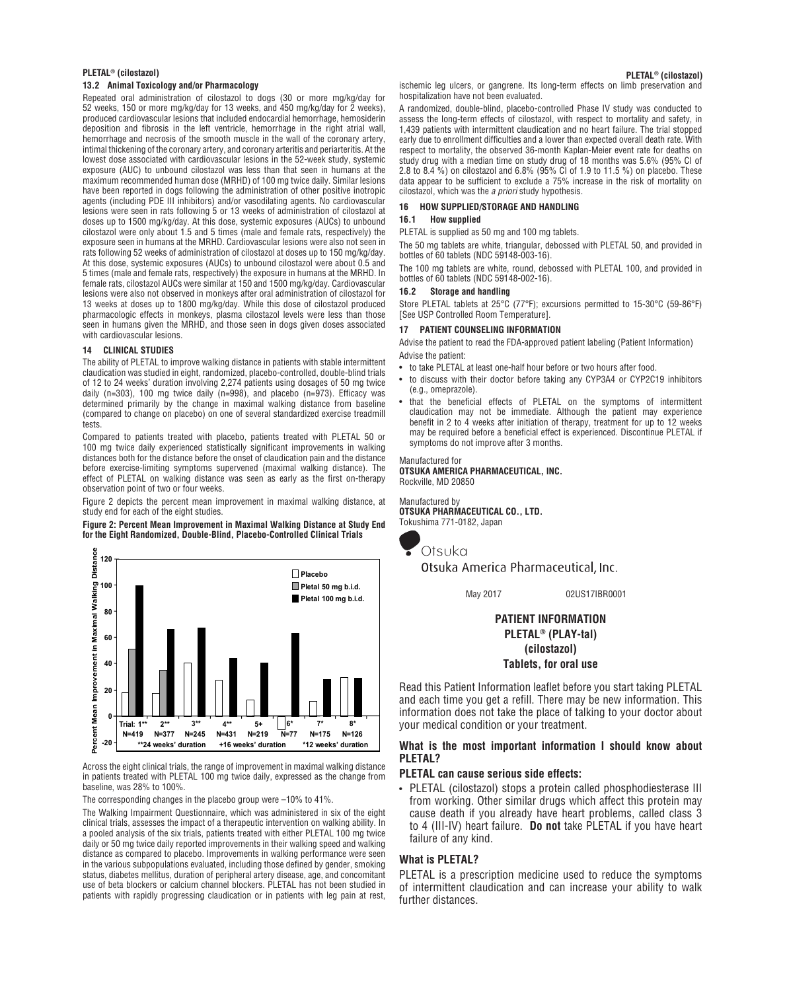# **PLETAL®** (cilostazol) *PLETAL®* (cilostazol)

## **13.2 Animal Toxicology and/or Pharmacology**

Repeated oral administration of cilostazol to dogs (30 or more mg/kg/day for 52 weeks, 150 or more mg/kg/day for 13 weeks, and 450 mg/kg/day for 2 weeks), produced cardiovascular lesions that included endocardial hemorrhage, hemosiderin deposition and fibrosis in the left ventricle, hemorrhage in the right atrial wall, hemorrhage and necrosis of the smooth muscle in the wall of the coronary artery, intimal thickening of the coronary artery, and coronary arteritis and periarteritis. At the lowest dose associated with cardiovascular lesions in the 52-week study, systemic exposure (AUC) to unbound cilostazol was less than that seen in humans at the maximum recommended human dose (MRHD) of 100 mg twice daily. Similar lesions have been reported in dogs following the administration of other positive inotropic agents (including PDE III inhibitors) and/or vasodilating agents. No cardiovascular lesions were seen in rats following 5 or 13 weeks of administration of cilostazol at doses up to 1500 mg/kg/day. At this dose, systemic exposures (AUCs) to unbound cilostazol were only about 1.5 and 5 times (male and female rats, respectively) the exposure seen in humans at the MRHD. Cardiovascular lesions were also not seen in rats following 52 weeks of administration of cilostazol at doses up to 150 mg/kg/day. At this dose, systemic exposures (AUCs) to unbound cilostazol were about 0.5 and 5 times (male and female rats, respectively) the exposure in humans at the MRHD. In female rats, cilostazol AUCs were similar at 150 and 1500 mg/kg/day. Cardiovascular lesions were also not observed in monkeys after oral administration of cilostazol for 13 weeks at doses up to 1800 mg/kg/day. While this dose of cilostazol produced pharmacologic effects in monkeys, plasma cilostazol levels were less than those seen in humans given the MRHD, and those seen in dogs given doses associated with cardiovascular lesions.

## **14 CLINICAL STUDIES**

The ability of PLETAL to improve walking distance in patients with stable intermittent claudication was studied in eight, randomized, placebo-controlled, double-blind trials of 12 to 24 weeks' duration involving 2,274 patients using dosages of 50 mg twice daily (n=303), 100 mg twice daily (n=998), and placebo (n=973). Efficacy was determined primarily by the change in maximal walking distance from baseline (compared to change on placebo) on one of several standardized exercise treadmill tests.

Compared to patients treated with placebo, patients treated with PLETAL 50 or 100 mg twice daily experienced statistically significant improvements in walking distances both for the distance before the onset of claudication pain and the distance before exercise-limiting symptoms supervened (maximal walking distance). The effect of PLETAL on walking distance was seen as early as the first on-therapy observation point of two or four weeks.

Figure 2 depicts the percent mean improvement in maximal walking distance, at study end for each of the eight studies.

**Figure 2: Percent Mean Improvement in Maximal Walking Distance at Study End for the Eight Randomized, Double-Blind, Placebo-Controlled Clinical Trials**



Across the eight clinical trials, the range of improvement in maximal walking distance in patients treated with PLETAL 100 mg twice daily, expressed as the change from baseline, was 28% to 100%.

The corresponding changes in the placebo group were –10% to 41%.

The Walking Impairment Questionnaire, which was administered in six of the eight clinical trials, assesses the impact of a therapeutic intervention on walking ability. In a pooled analysis of the six trials, patients treated with either PLETAL 100 mg twice daily or 50 mg twice daily reported improvements in their walking speed and walking distance as compared to placebo. Improvements in walking performance were seen in the various subpopulations evaluated, including those defined by gender, smoking status, diabetes mellitus, duration of peripheral artery disease, age, and concomitant use of beta blockers or calcium channel blockers. PLETAL has not been studied in patients with rapidly progressing claudication or in patients with leg pain at rest,

ischemic leg ulcers, or gangrene. Its long-term effects on limb preservation and hospitalization have not been evaluated.

A randomized, double-blind, placebo-controlled Phase IV study was conducted to assess the long-term effects of cilostazol, with respect to mortality and safety, in 1,439 patients with intermittent claudication and no heart failure. The trial stopped early due to enrollment difficulties and a lower than expected overall death rate. With respect to mortality, the observed 36-month Kaplan-Meier event rate for deaths on study drug with a median time on study drug of 18 months was 5.6% (95% CI of 2.8 to 8.4 %) on cilostazol and 6.8% (95% CI of 1.9 to 11.5 %) on placebo. These data appear to be sufficient to exclude a 75% increase in the risk of mortality on cilostazol, which was the *a priori* study hypothesis.

## **16 HOW SUPPLIED/STORAGE AND HANDLING**

#### **16.1 How supplied**

PLETAL is supplied as 50 mg and 100 mg tablets.

The 50 mg tablets are white, triangular, debossed with PLETAL 50, and provided in bottles of 60 tablets (NDC 59148-003-16).

The 100 mg tablets are white, round, debossed with PLETAL 100, and provided in bottles of 60 tablets (NDC 59148-002-16).

## **16.2 Storage and handling**

Store PLETAL tablets at 25°C (77°F); excursions permitted to 15-30°C (59-86°F) [See USP Controlled Room Temperature].

#### **17 PATIENT COUNSELING INFORMATION**

Advise the patient to read the FDA-approved patient labeling (Patient Information) Advise the patient:

- to take PLETAL at least one-half hour before or two hours after food.
- to discuss with their doctor before taking any CYP3A4 or CYP2C19 inhibitors (e.g., omeprazole).
- that the beneficial effects of PLETAL on the symptoms of intermittent claudication may not be immediate. Although the patient may experience benefit in 2 to 4 weeks after initiation of therapy, treatment for up to 12 weeks may be required before a beneficial effect is experienced. Discontinue PLETAL if symptoms do not improve after 3 months.

#### Manufactured for

**OTSUKA AMERICA PHARMACEUTICAL, INC.** Rockville, MD 20850

## Manufactured by

**OTSUKA PHARMACEUTICAL CO., LTD.** Tokushima 771-0182, Japan



Otsuka America Pharmaceutical, Inc.

May 2017 02US17IBR0001

# **PATIENT INFORMATION PLETAL® (PLAY-tal) (cilostazol) Tablets, for oral use**

Read this Patient Information leaflet before you start taking PLETAL and each time you get a refill. There may be new information. This information does not take the place of talking to your doctor about your medical condition or your treatment.

## **What is the most important information I should know about PLETAL?**

## **PLETAL can cause serious side effects:**

• PLETAL (cilostazol) stops a protein called phosphodiesterase III from working. Other similar drugs which affect this protein may cause death if you already have heart problems, called class 3 to 4 (III-IV) heart failure. **Do not** take PLETAL if you have heart failure of any kind.

# **What is PLETAL?**

PLETAL is a prescription medicine used to reduce the symptoms of intermittent claudication and can increase your ability to walk further distances.